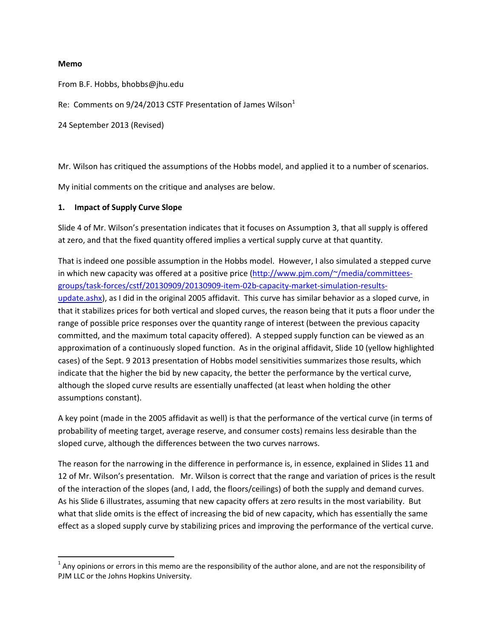## **Memo**

From B.F. Hobbs, bhobbs@jhu.edu

Re: Comments on  $9/24/2013$  CSTF Presentation of James Wilson $<sup>1</sup>$ </sup>

24 September 2013 (Revised)

Mr. Wilson has critiqued the assumptions of the Hobbs model, and applied it to a number of scenarios.

My initial comments on the critique and analyses are below.

## **1. Impact of Supply Curve Slope**

Slide 4 of Mr. Wilson's presentation indicates that it focuses on Assumption 3, that all supply is offered at zero, and that the fixed quantity offered implies a vertical supply curve at that quantity.

That is indeed one possible assumption in the Hobbs model. However, I also simulated a stepped curve in which new capacity was offered at a positive price  $\frac{http://www.pjm.com/~/media/committees$ groups/task-forces/cstf/20130909/20130909-item-02b-capacity-market-simulation-resultsupdate.ashx), as I did in the original 2005 affidavit. This curve has similar behavior as a sloped curve, in that it stabilizes prices for both vertical and sloped curves, the reason being that it puts a floor under the range of possible price responses over the quantity range of interest (between the previous capacity committed, and the maximum total capacity offered). A stepped supply function can be viewed as an approximation of a continuously sloped function. As in the original affidavit, Slide 10 (yellow highlighted cases) of the Sept. 9 2013 presentation of Hobbs model sensitivities summarizes those results, which indicate that the higher the bid by new capacity, the better the performance by the vertical curve, although the sloped curve results are essentially unaffected (at least when holding the other assumptions constant).

A key point (made in the 2005 affidavit as well) is that the performance of the vertical curve (in terms of probability of meeting target, average reserve, and consumer costs) remains less desirable than the sloped curve, although the differences between the two curves narrows.

The reason for the narrowing in the difference in performance is, in essence, explained in Slides 11 and 12 of Mr. Wilson's presentation. Mr. Wilson is correct that the range and variation of prices is the result of the interaction of the slopes (and, I add, the floors/ceilings) of both the supply and demand curves. As his Slide 6 illustrates, assuming that new capacity offers at zero results in the most variability. But what that slide omits is the effect of increasing the bid of new capacity, which has essentially the same effect as a sloped supply curve by stabilizing prices and improving the performance of the vertical curve.

 $1$  Any opinions or errors in this memo are the responsibility of the author alone, and are not the responsibility of PJM LLC or the Johns Hopkins University.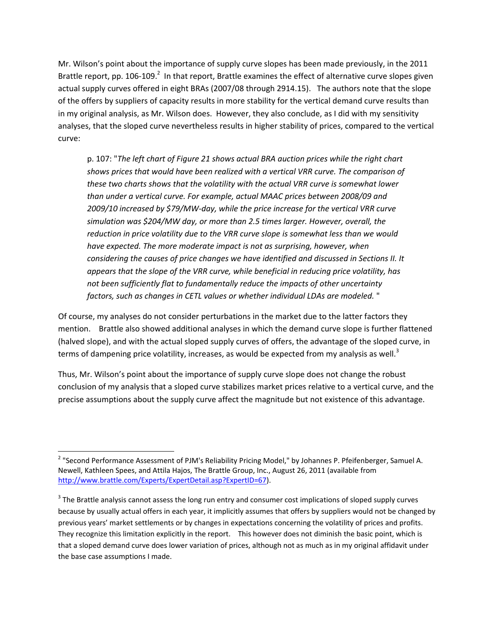Mr. Wilson's point about the importance of supply curve slopes has been made previously, in the 2011 Brattle report, pp. 106-109.<sup>2</sup> In that report, Brattle examines the effect of alternative curve slopes given actual supply curves offered in eight BRAs (2007/08 through 2914.15). The authors note that the slope of the offers by suppliers of capacity results in more stability for the vertical demand curve results than in my original analysis, as Mr. Wilson does. However, they also conclude, as I did with my sensitivity analyses, that the sloped curve nevertheless results in higher stability of prices, compared to the vertical curve:

p. 107: "*The left chart of Figure 21 shows actual BRA auction prices while the right chart shows prices that would have been realized with a vertical VRR curve. The comparison of these two charts shows that the volatility with the actual VRR curve is somewhat lower than under a vertical curve. For example, actual MAAC prices between 2008/09 and 2009/10 increased by \$79/MW‐day, while the price increase for the vertical VRR curve simulation was \$204/MW day, or more than 2.5 times larger. However, overall, the reduction in price volatility due to the VRR curve slope is somewhat less than we would have expected. The more moderate impact is not as surprising, however, when considering the causes of price changes we have identified and discussed in Sections II. It appears that the slope of the VRR curve, while beneficial in reducing price volatility, has not been sufficiently flat to fundamentally reduce the impacts of other uncertainty factors, such as changes in CETL values or whether individual LDAs are modeled.* "

Of course, my analyses do not consider perturbations in the market due to the latter factors they mention. Brattle also showed additional analyses in which the demand curve slope is further flattened (halved slope), and with the actual sloped supply curves of offers, the advantage of the sloped curve, in terms of dampening price volatility, increases, as would be expected from my analysis as well.<sup>3</sup>

Thus, Mr. Wilson's point about the importance of supply curve slope does not change the robust conclusion of my analysis that a sloped curve stabilizes market prices relative to a vertical curve, and the precise assumptions about the supply curve affect the magnitude but not existence of this advantage.

<sup>&</sup>lt;sup>2</sup> "Second Performance Assessment of PJM's Reliability Pricing Model," by Johannes P. Pfeifenberger, Samuel A. Newell, Kathleen Spees, and Attila Hajos, The Brattle Group, Inc., August 26, 2011 (available from http://www.brattle.com/Experts/ExpertDetail.asp?ExpertID=67).

<sup>&</sup>lt;sup>3</sup> The Brattle analysis cannot assess the long run entry and consumer cost implications of sloped supply curves because by usually actual offers in each year, it implicitly assumes that offers by suppliers would not be changed by previous years' market settlements or by changes in expectations concerning the volatility of prices and profits. They recognize this limitation explicitly in the report. This however does not diminish the basic point, which is that a sloped demand curve does lower variation of prices, although not as much as in my original affidavit under the base case assumptions I made.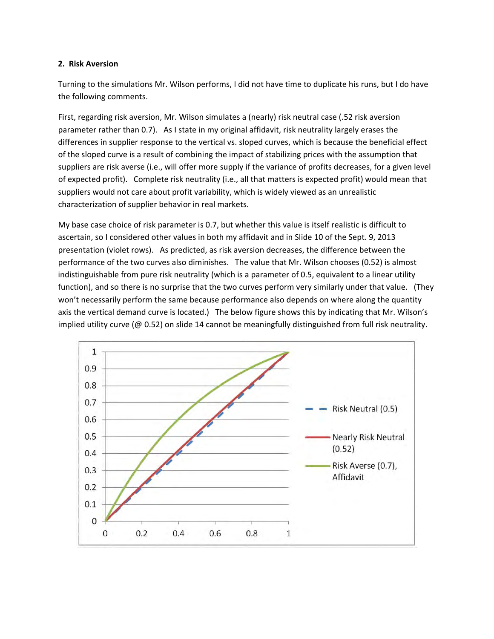## **2. Risk Aversion**

Turning to the simulations Mr. Wilson performs, I did not have time to duplicate his runs, but I do have the following comments.

First, regarding risk aversion, Mr. Wilson simulates a (nearly) risk neutral case (.52 risk aversion parameter rather than 0.7). As I state in my original affidavit, risk neutrality largely erases the differences in supplier response to the vertical vs. sloped curves, which is because the beneficial effect of the sloped curve is a result of combining the impact of stabilizing prices with the assumption that suppliers are risk averse (i.e., will offer more supply if the variance of profits decreases, for a given level of expected profit). Complete risk neutrality (i.e., all that matters is expected profit) would mean that suppliers would not care about profit variability, which is widely viewed as an unrealistic characterization of supplier behavior in real markets.

My base case choice of risk parameter is 0.7, but whether this value is itself realistic is difficult to ascertain, so I considered other values in both my affidavit and in Slide 10 of the Sept. 9, 2013 presentation (violet rows). As predicted, as risk aversion decreases, the difference between the performance of the two curves also diminishes. The value that Mr. Wilson chooses (0.52) is almost indistinguishable from pure risk neutrality (which is a parameter of 0.5, equivalent to a linear utility function), and so there is no surprise that the two curves perform very similarly under that value. (They won't necessarily perform the same because performance also depends on where along the quantity axis the vertical demand curve is located.) The below figure shows this by indicating that Mr. Wilson's implied utility curve (@ 0.52) on slide 14 cannot be meaningfully distinguished from full risk neutrality.

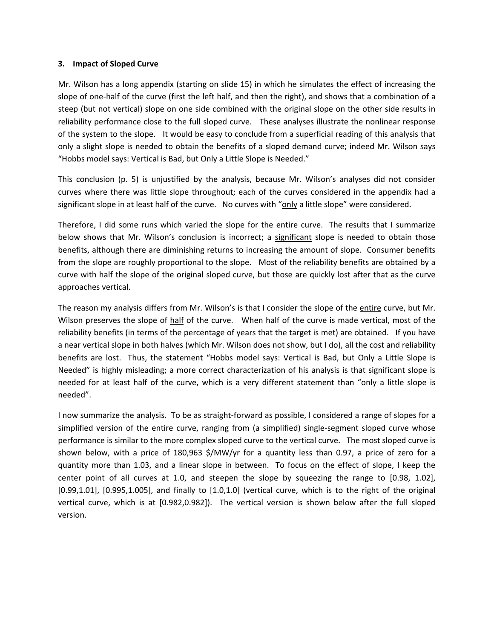## **3. Impact of Sloped Curve**

Mr. Wilson has a long appendix (starting on slide 15) in which he simulates the effect of increasing the slope of one-half of the curve (first the left half, and then the right), and shows that a combination of a steep (but not vertical) slope on one side combined with the original slope on the other side results in reliability performance close to the full sloped curve. These analyses illustrate the nonlinear response of the system to the slope. It would be easy to conclude from a superficial reading of this analysis that only a slight slope is needed to obtain the benefits of a sloped demand curve; indeed Mr. Wilson says "Hobbs model says: Vertical is Bad, but Only a Little Slope is Needed."

This conclusion (p. 5) is unjustified by the analysis, because Mr. Wilson's analyses did not consider curves where there was little slope throughout; each of the curves considered in the appendix had a significant slope in at least half of the curve. No curves with "only a little slope" were considered.

Therefore, I did some runs which varied the slope for the entire curve. The results that I summarize below shows that Mr. Wilson's conclusion is incorrect; a significant slope is needed to obtain those benefits, although there are diminishing returns to increasing the amount of slope. Consumer benefits from the slope are roughly proportional to the slope. Most of the reliability benefits are obtained by a curve with half the slope of the original sloped curve, but those are quickly lost after that as the curve approaches vertical.

The reason my analysis differs from Mr. Wilson's is that I consider the slope of the entire curve, but Mr. Wilson preserves the slope of half of the curve. When half of the curve is made vertical, most of the reliability benefits (in terms of the percentage of years that the target is met) are obtained. If you have a near vertical slope in both halves (which Mr. Wilson does not show, but I do), all the cost and reliability benefits are lost. Thus, the statement "Hobbs model says: Vertical is Bad, but Only a Little Slope is Needed" is highly misleading; a more correct characterization of his analysis is that significant slope is needed for at least half of the curve, which is a very different statement than "only a little slope is needed".

I now summarize the analysis. To be as straight‐forward as possible, I considered a range of slopes for a simplified version of the entire curve, ranging from (a simplified) single‐segment sloped curve whose performance is similar to the more complex sloped curve to the vertical curve. The most sloped curve is shown below, with a price of 180,963 \$/MW/yr for a quantity less than 0.97, a price of zero for a quantity more than 1.03, and a linear slope in between. To focus on the effect of slope, I keep the center point of all curves at 1.0, and steepen the slope by squeezing the range to [0.98, 1.02], [0.99,1.01], [0.995,1.005], and finally to [1.0,1.0] (vertical curve, which is to the right of the original vertical curve, which is at [0.982,0.982]). The vertical version is shown below after the full sloped version.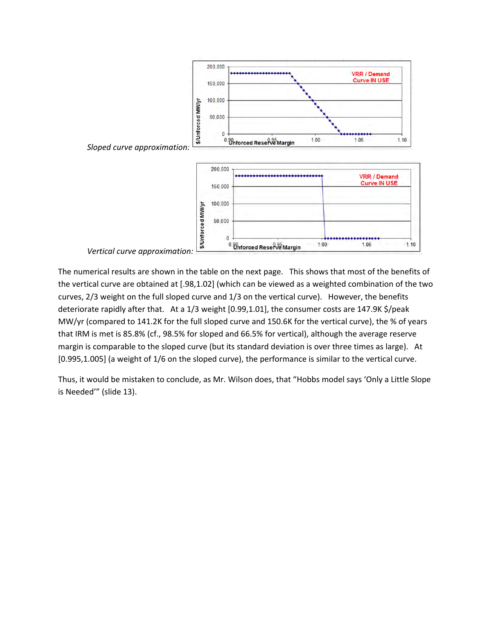

The numerical results are shown in the table on the next page. This shows that most of the benefits of the vertical curve are obtained at [.98,1.02] (which can be viewed as a weighted combination of the two curves, 2/3 weight on the full sloped curve and 1/3 on the vertical curve). However, the benefits deteriorate rapidly after that. At a 1/3 weight [0.99,1.01], the consumer costs are 147.9K \$/peak MW/yr (compared to 141.2K for the full sloped curve and 150.6K for the vertical curve), the % of years that IRM is met is 85.8% (cf., 98.5% for sloped and 66.5% for vertical), although the average reserve margin is comparable to the sloped curve (but its standard deviation is over three times as large). At [0.995,1.005] (a weight of 1/6 on the sloped curve), the performance is similar to the vertical curve.

Thus, it would be mistaken to conclude, as Mr. Wilson does, that "Hobbs model says 'Only a Little Slope is Needed'" (slide 13).